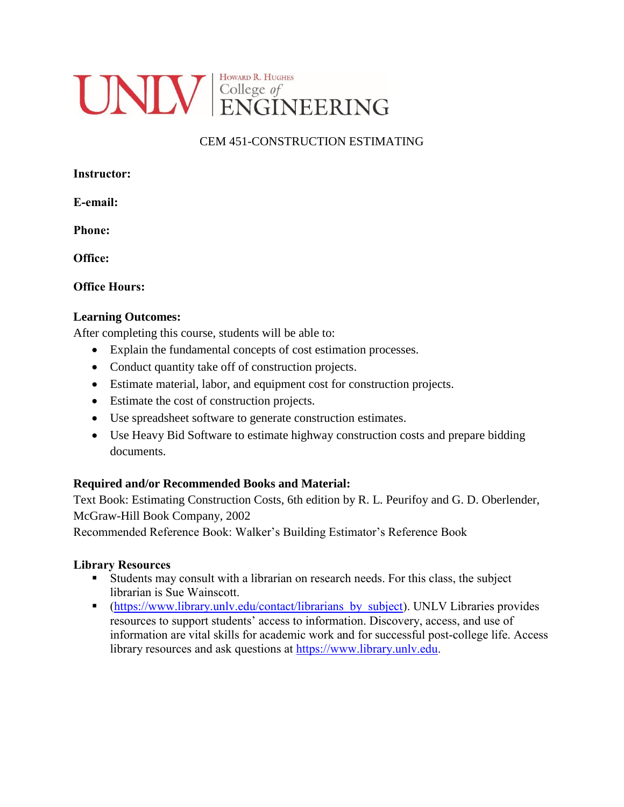

# CEM 451-CONSTRUCTION ESTIMATING

**E-email:**

**Phone:**

**Office:**

## **Office Hours:**

## **Learning Outcomes:**

After completing this course, students will be able to:

- Explain the fundamental concepts of cost estimation processes.
- Conduct quantity take off of construction projects.
- Estimate material, labor, and equipment cost for construction projects.
- Estimate the cost of construction projects.
- Use spreadsheet software to generate construction estimates.
- Use Heavy Bid Software to estimate highway construction costs and prepare bidding documents.

# **Required and/or Recommended Books and Material:**

Text Book: Estimating Construction Costs, 6th edition by R. L. Peurifoy and G. D. Oberlender, McGraw-Hill Book Company, 2002

Recommended Reference Book: Walker's Building Estimator's Reference Book

### **Library Resources**

- Students may consult with a librarian on research needs. For this class, the subject librarian is Sue Wainscott.
- (https://www.library.unly.edu/contact/librarians by subject). UNLV Libraries provides resources to support students' access to information. Discovery, access, and use of information are vital skills for academic work and for successful post-college life. Access library resources and ask questions at [https://www.library.unlv.edu.](https://www.library.unlv.edu/)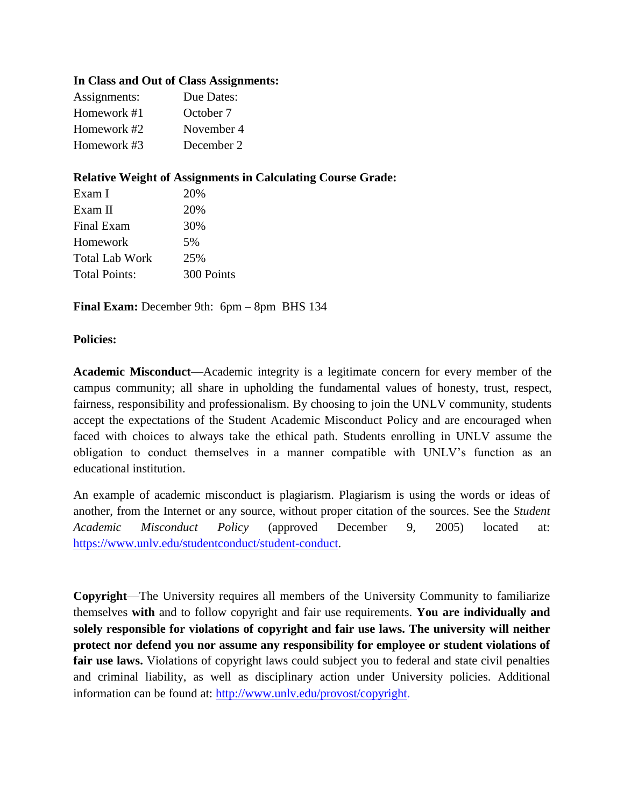#### **In Class and Out of Class Assignments:**

| Assignments: | Due Dates: |
|--------------|------------|
| Homework #1  | October 7  |
| Homework #2  | November 4 |
| Homework #3  | December 2 |
|              |            |

### **Relative Weight of Assignments in Calculating Course Grade:**

| 20%        |  |
|------------|--|
| 20%        |  |
| 30%        |  |
| 5%         |  |
| 25%        |  |
| 300 Points |  |
|            |  |

**Final Exam:** December 9th: 6pm – 8pm BHS 134

#### **Policies:**

**Academic Misconduct**—Academic integrity is a legitimate concern for every member of the campus community; all share in upholding the fundamental values of honesty, trust, respect, fairness, responsibility and professionalism. By choosing to join the UNLV community, students accept the expectations of the Student Academic Misconduct Policy and are encouraged when faced with choices to always take the ethical path. Students enrolling in UNLV assume the obligation to conduct themselves in a manner compatible with UNLV's function as an educational institution.

An example of academic misconduct is plagiarism. Plagiarism is using the words or ideas of another, from the Internet or any source, without proper citation of the sources. See the *Student Academic Misconduct Policy* (approved December 9, 2005) located at: [https://www.unlv.edu/studentconduct/student-conduct.](https://www.unlv.edu/studentconduct/student-conduct)

**Copyright**—The University requires all members of the University Community to familiarize themselves **with** and to follow copyright and fair use requirements. **You are individually and solely responsible for violations of copyright and fair use laws. The university will neither protect nor defend you nor assume any responsibility for employee or student violations of**  fair use laws. Violations of copyright laws could subject you to federal and state civil penalties and criminal liability, as well as disciplinary action under University policies. Additional information can be found at: [http://www.unlv.edu/provost/copyright.](http://www.unlv.edu/provost/copyright)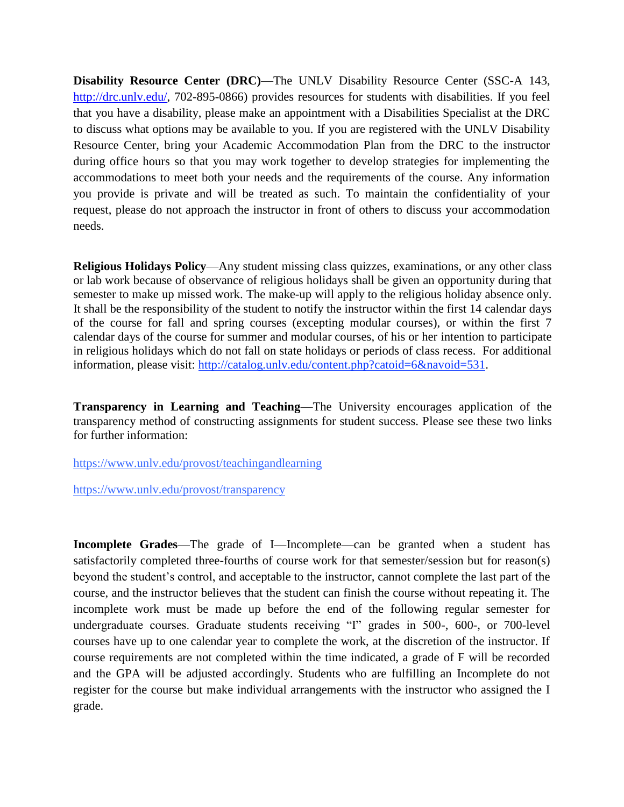**Disability Resource Center (DRC)—The UNLV Disability Resource Center (SSC-A 143,** http://drc.unly.edu/, 702-895-0866) provides resources for students with disabilities. If you feel that you have a disability, please make an appointment with a Disabilities Specialist at the DRC to discuss what options may be available to you. If you are registered with the UNLV Disability Resource Center, bring your Academic Accommodation Plan from the DRC to the instructor during office hours so that you may work together to develop strategies for implementing the accommodations to meet both your needs and the requirements of the course. Any information you provide is private and will be treated as such. To maintain the confidentiality of your request, please do not approach the instructor in front of others to discuss your accommodation needs.

**Religious Holidays Policy**—Any student missing class quizzes, examinations, or any other class or lab work because of observance of religious holidays shall be given an opportunity during that semester to make up missed work. The make-up will apply to the religious holiday absence only. It shall be the responsibility of the student to notify the instructor within the first 14 calendar days of the course for fall and spring courses (excepting modular courses), or within the first 7 calendar days of the course for summer and modular courses, of his or her intention to participate in religious holidays which do not fall on state holidays or periods of class recess. For additional information, please visit: [http://catalog.unlv.edu/content.php?catoid=6&navoid=531.](http://catalog.unlv.edu/content.php?catoid=6&navoid=531)

**Transparency in Learning and Teaching**—The University encourages application of the transparency method of constructing assignments for student success. Please see these two links for further information:

<https://www.unlv.edu/provost/teachingandlearning>

<https://www.unlv.edu/provost/transparency>

**Incomplete Grades**—The grade of I—Incomplete—can be granted when a student has satisfactorily completed three-fourths of course work for that semester/session but for reason(s) beyond the student's control, and acceptable to the instructor, cannot complete the last part of the course, and the instructor believes that the student can finish the course without repeating it. The incomplete work must be made up before the end of the following regular semester for undergraduate courses. Graduate students receiving "I" grades in 500-, 600-, or 700-level courses have up to one calendar year to complete the work, at the discretion of the instructor. If course requirements are not completed within the time indicated, a grade of F will be recorded and the GPA will be adjusted accordingly. Students who are fulfilling an Incomplete do not register for the course but make individual arrangements with the instructor who assigned the I grade.